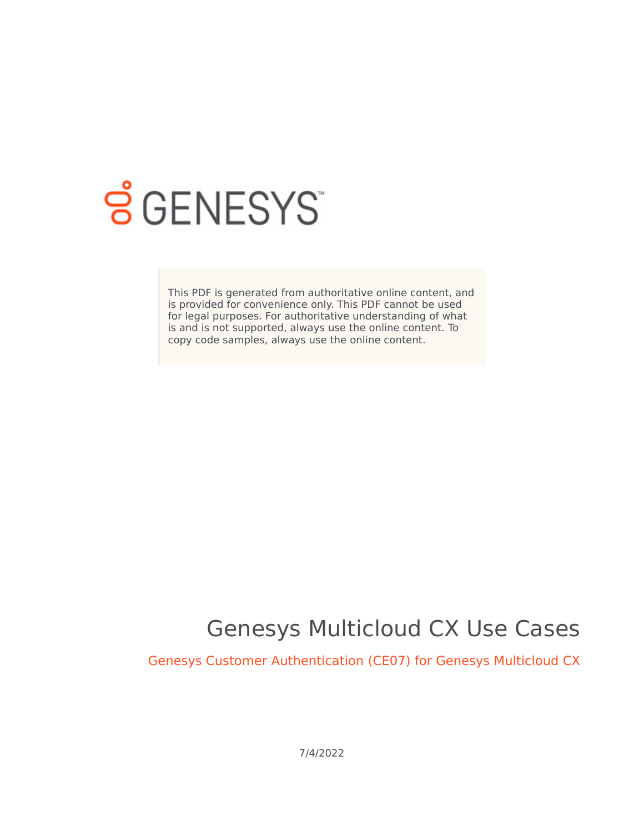

# **S** GENESYS

This PDF is generated from authoritative online content, and is provided for convenience only. This PDF cannot be used for legal purposes. For authoritative understanding of what is and is not supported, always use the online content. To copy code samples, always use the online content.

## Genesys Multicloud CX Use Cases

Genesys Customer Authentication (CE07) for Genesys Multicloud CX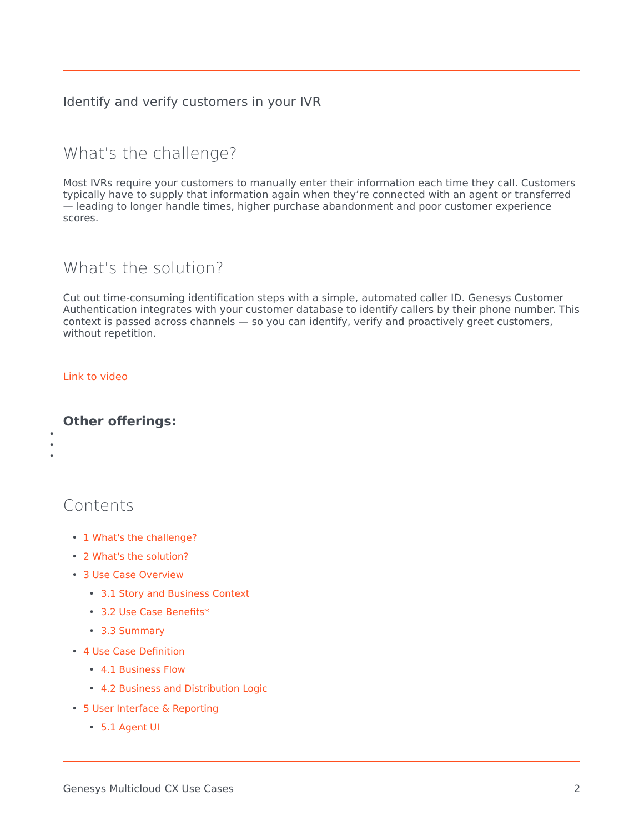#### Identify and verify customers in your IVR

## <span id="page-1-0"></span>What's the challenge?

Most IVRs require your customers to manually enter their information each time they call. Customers typically have to supply that information again when they're connected with an agent or transferred — leading to longer handle times, higher purchase abandonment and poor customer experience scores.

## <span id="page-1-1"></span>What's the solution?

Cut out time-consuming identification steps with a simple, automated caller ID. Genesys Customer Authentication integrates with your customer database to identify callers by their phone number. This context is passed across channels — so you can identify, verify and proactively greet customers, without repetition.

#### [Link to video](https://player.vimeo.com/video/526149198?title=0&byline=0&portrait=0)

• • •

#### **Other offerings:**

Contents

- 1 [What's the challenge?](#page-1-0)
- 2 [What's the solution?](#page-1-1)
- 3 [Use Case Overview](#page-3-0)
	- 3.1 [Story and Business Context](#page-3-1)
	- 3.2 [Use Case Benefits\\*](#page-3-2)
	- 3.3 [Summary](#page-3-3)
- 4 [Use Case Definition](#page-4-0)
	- 4.1 [Business Flow](#page-4-1)
	- 4.2 [Business and Distribution Logic](#page-6-0)
- 5 [User Interface & Reporting](#page-6-1) 
	- 5.1 [Agent UI](#page-6-2)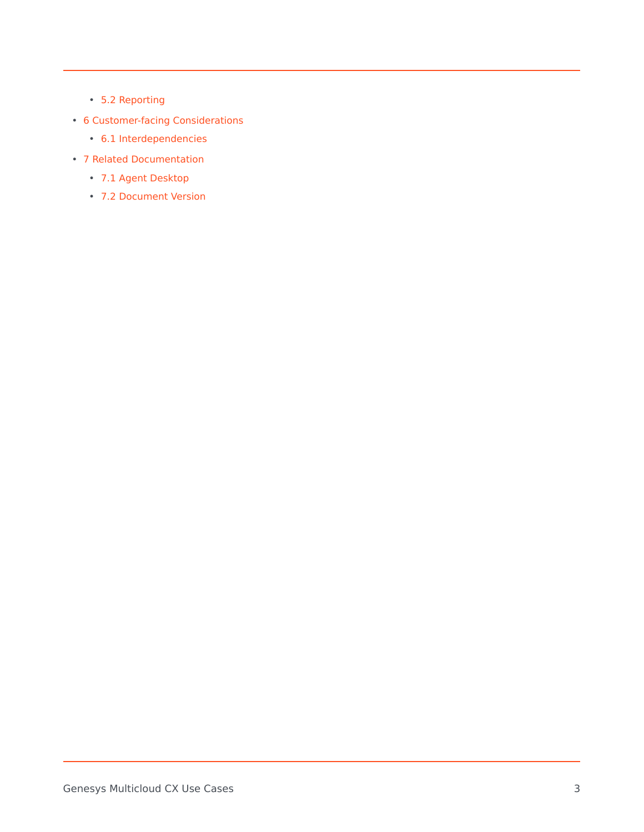- 5.2 [Reporting](#page-6-3)
- 6 [Customer-facing Considerations](#page-7-0)
	- 6.1 [Interdependencies](#page-7-1)
- 7 [Related Documentation](#page-8-0)
	- 7.1 [Agent Desktop](#page-8-1)
	- 7.2 [Document Version](#page-8-2)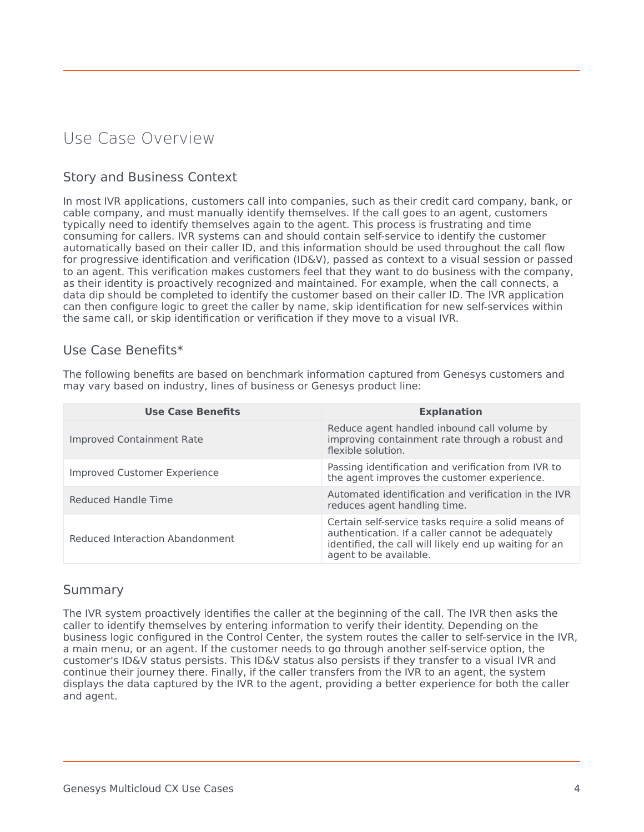## <span id="page-3-0"></span>Use Case Overview

#### <span id="page-3-1"></span>Story and Business Context

In most IVR applications, customers call into companies, such as their credit card company, bank, or cable company, and must manually identify themselves. If the call goes to an agent, customers typically need to identify themselves again to the agent. This process is frustrating and time consuming for callers. IVR systems can and should contain self-service to identify the customer automatically based on their caller ID, and this information should be used throughout the call flow for progressive identification and verification (ID&V), passed as context to a visual session or passed to an agent. This verification makes customers feel that they want to do business with the company, as their identity is proactively recognized and maintained. For example, when the call connects, a data dip should be completed to identify the customer based on their caller ID. The IVR application can then configure logic to greet the caller by name, skip identification for new self-services within the same call, or skip identification or verification if they move to a visual IVR.

#### <span id="page-3-2"></span>Use Case Benefits\*

The following benefits are based on benchmark information captured from Genesys customers and may vary based on industry, lines of business or Genesys product line:

| <b>Use Case Benefits</b>            | <b>Explanation</b>                                                                                                                                                                          |  |
|-------------------------------------|---------------------------------------------------------------------------------------------------------------------------------------------------------------------------------------------|--|
| <b>Improved Containment Rate</b>    | Reduce agent handled inbound call volume by<br>improving containment rate through a robust and<br>flexible solution.                                                                        |  |
| <b>Improved Customer Experience</b> | Passing identification and verification from IVR to<br>the agent improves the customer experience.                                                                                          |  |
| Reduced Handle Time                 | Automated identification and verification in the IVR<br>reduces agent handling time.                                                                                                        |  |
| Reduced Interaction Abandonment     | Certain self-service tasks require a solid means of<br>authentication. If a caller cannot be adequately<br>identified, the call will likely end up waiting for an<br>agent to be available. |  |

#### <span id="page-3-3"></span>Summary

The IVR system proactively identifies the caller at the beginning of the call. The IVR then asks the caller to identify themselves by entering information to verify their identity. Depending on the business logic configured in the Control Center, the system routes the caller to self-service in the IVR, a main menu, or an agent. If the customer needs to go through another self-service option, the customer's ID&V status persists. This ID&V status also persists if they transfer to a visual IVR and continue their journey there. Finally, if the caller transfers from the IVR to an agent, the system displays the data captured by the IVR to the agent, providing a better experience for both the caller and agent.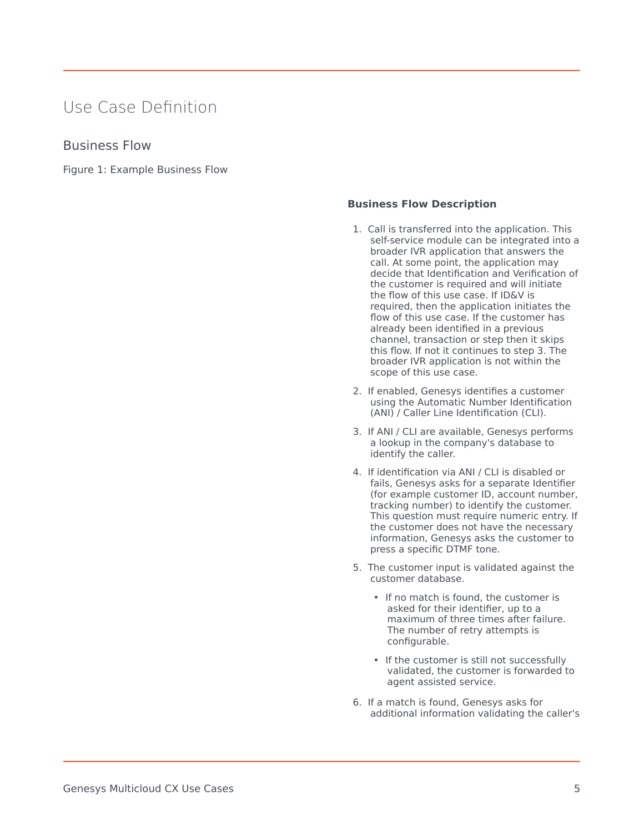## <span id="page-4-0"></span>Use Case Definition

#### <span id="page-4-1"></span>Business Flow

Figure 1: Example Business Flow

#### **Business Flow Description**

- 1. Call is transferred into the application. This self-service module can be integrated into a broader IVR application that answers the call. At some point, the application may decide that Identification and Verification of the customer is required and will initiate the flow of this use case. If ID&V is required, then the application initiates the flow of this use case. If the customer has already been identified in a previous channel, transaction or step then it skips this flow. If not it continues to step 3. The broader IVR application is not within the scope of this use case.
- 2. If enabled, Genesys identifies a customer using the Automatic Number Identification (ANI) / Caller Line Identification (CLI).
- 3. If ANI / CLI are available, Genesys performs a lookup in the company's database to identify the caller.
- 4. If identification via ANI / CLI is disabled or fails, Genesys asks for a separate Identifier (for example customer ID, account number, tracking number) to identify the customer. This question must require numeric entry. If the customer does not have the necessary information, Genesys asks the customer to press a specific DTMF tone.
- 5. The customer input is validated against the customer database.
	- If no match is found, the customer is asked for their identifier, up to a maximum of three times after failure. The number of retry attempts is configurable.
	- If the customer is still not successfully validated, the customer is forwarded to agent assisted service.
- 6. If a match is found, Genesys asks for additional information validating the caller's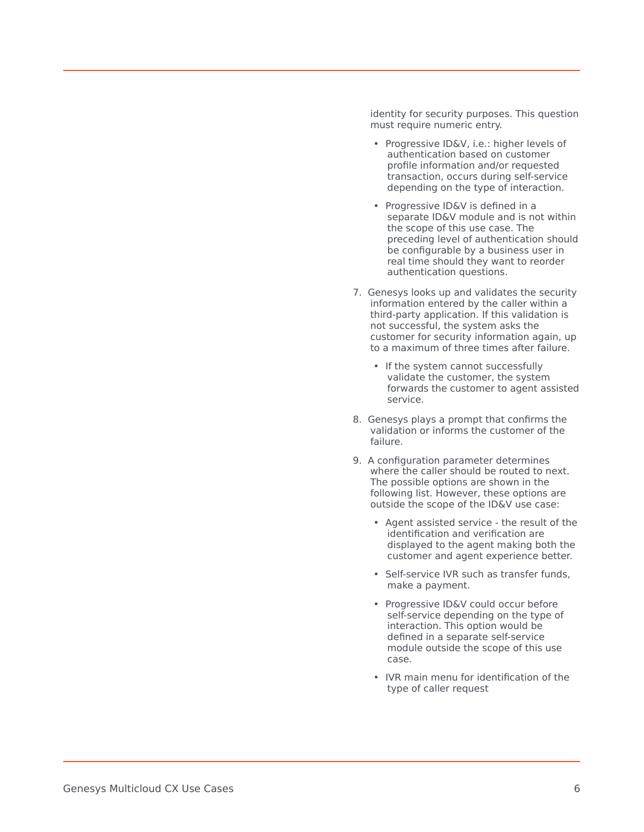identity for security purposes. This question must require numeric entry.

- Progressive ID&V, i.e.: higher levels of authentication based on customer profile information and/or requested transaction, occurs during self-service depending on the type of interaction.
- Progressive ID&V is defined in a separate ID&V module and is not within the scope of this use case. The preceding level of authentication should be configurable by a business user in real time should they want to reorder authentication questions.
- 7. Genesys looks up and validates the security information entered by the caller within a third-party application. If this validation is not successful, the system asks the customer for security information again, up to a maximum of three times after failure.
	- If the system cannot successfully validate the customer, the system forwards the customer to agent assisted service.
- 8. Genesys plays a prompt that confirms the validation or informs the customer of the failure.
- 9. A configuration parameter determines where the caller should be routed to next. The possible options are shown in the following list. However, these options are outside the scope of the ID&V use case:
	- Agent assisted service the result of the identification and verification are displayed to the agent making both the customer and agent experience better.
	- Self-service IVR such as transfer funds, make a payment.
	- Progressive ID&V could occur before self-service depending on the type of interaction. This option would be defined in a separate self-service module outside the scope of this use case.
	- IVR main menu for identification of the type of caller request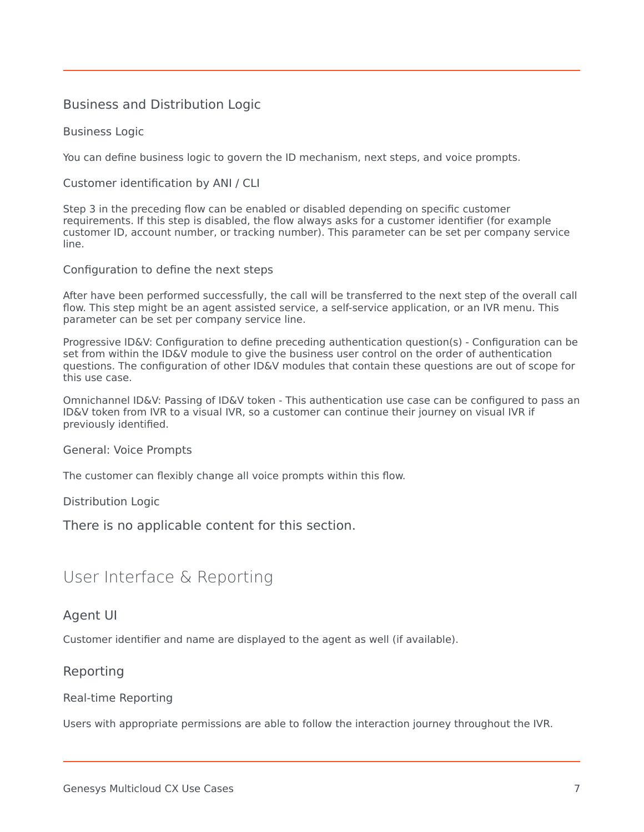#### <span id="page-6-0"></span>Business and Distribution Logic

Business Logic

You can define business logic to govern the ID mechanism, next steps, and voice prompts.

Customer identification by ANI / CLI

Step 3 in the preceding flow can be enabled or disabled depending on specific customer requirements. If this step is disabled, the flow always asks for a customer identifier (for example customer ID, account number, or tracking number). This parameter can be set per company service line.

Configuration to define the next steps

After have been performed successfully, the call will be transferred to the next step of the overall call flow. This step might be an agent assisted service, a self-service application, or an IVR menu. This parameter can be set per company service line.

Progressive ID&V: Configuration to define preceding authentication question(s) - Configuration can be set from within the ID&V module to give the business user control on the order of authentication questions. The configuration of other ID&V modules that contain these questions are out of scope for this use case.

Omnichannel ID&V: Passing of ID&V token - This authentication use case can be configured to pass an ID&V token from IVR to a visual IVR, so a customer can continue their journey on visual IVR if previously identified.

General: Voice Prompts

The customer can flexibly change all voice prompts within this flow.

Distribution Logic

There is no applicable content for this section.

## <span id="page-6-1"></span>User Interface & Reporting

#### <span id="page-6-2"></span>Agent UI

Customer identifier and name are displayed to the agent as well (if available).

#### <span id="page-6-3"></span>Reporting

#### Real-time Reporting

Users with appropriate permissions are able to follow the interaction journey throughout the IVR.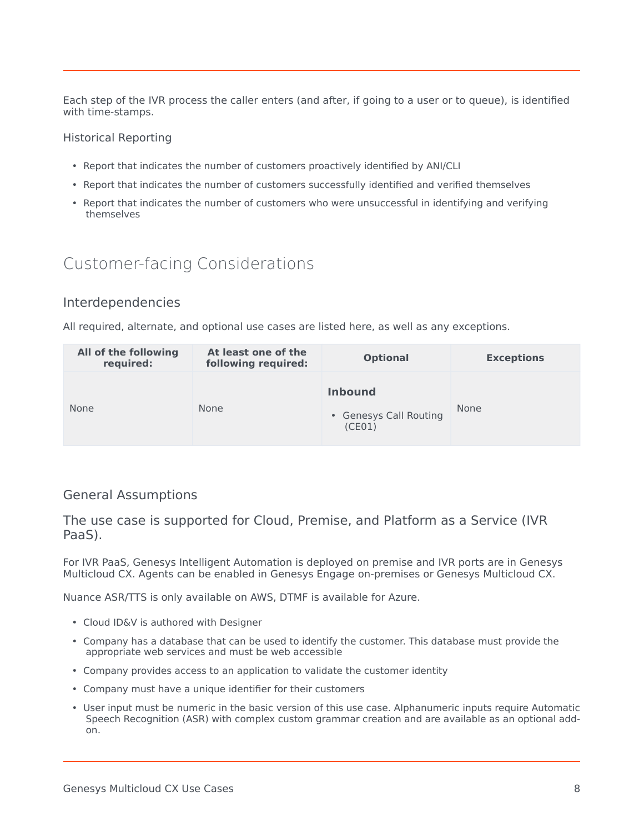Each step of the IVR process the caller enters (and after, if going to a user or to queue), is identified with time-stamps.

#### Historical Reporting

- Report that indicates the number of customers proactively identified by ANI/CLI
- Report that indicates the number of customers successfully identified and verified themselves
- Report that indicates the number of customers who were unsuccessful in identifying and verifying themselves

## <span id="page-7-0"></span>Customer-facing Considerations

#### <span id="page-7-1"></span>Interdependencies

All required, alternate, and optional use cases are listed here, as well as any exceptions.

| All of the following<br>required: | At least one of the<br>following required: | <b>Optional</b>                                    | <b>Exceptions</b> |
|-----------------------------------|--------------------------------------------|----------------------------------------------------|-------------------|
| <b>None</b>                       | <b>None</b>                                | <b>Inbound</b><br>• Genesys Call Routing<br>(CE01) | None              |

#### General Assumptions

The use case is supported for Cloud, Premise, and Platform as a Service (IVR PaaS).

For IVR PaaS, Genesys Intelligent Automation is deployed on premise and IVR ports are in Genesys Multicloud CX. Agents can be enabled in Genesys Engage on-premises or Genesys Multicloud CX.

Nuance ASR/TTS is only available on AWS, DTMF is available for Azure.

- Cloud ID&V is authored with Designer
- Company has a database that can be used to identify the customer. This database must provide the appropriate web services and must be web accessible
- Company provides access to an application to validate the customer identity
- Company must have a unique identifier for their customers
- User input must be numeric in the basic version of this use case. Alphanumeric inputs require Automatic Speech Recognition (ASR) with complex custom grammar creation and are available as an optional addon.